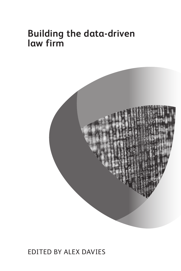## **Building the data-driven law firm**



### EDITED BY ALEX DAVIES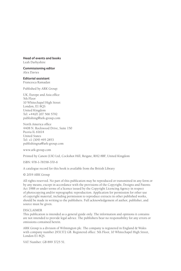#### **Head of events and books**

Leah Darbyshire

**Commissioning editor** Alex Davies

**Editorial assistant** Francesca Ramadan

Published by ARK Group:

UK, Europe and Asia office 5th Floor 10 Whitechapel High Street London, E1 8QS United Kingdom Tel: +44(0) 207 566 5792 publishing@ark-group.com

North America office 4408 N. Rockwood Drive, Suite 150 Peoria IL 61614 United States Tel: +1 (309) 495 2853 publishingna@ark-group.com

www.ark-group.com

Printed by Canon (UK) Ltd, Cockshot Hill, Reigate, RH2 8BF, United Kingdom

ISBN: 978-1-78358-370-6

A catalogue record for this book is available from the British Library

© 2019 ARK Group

All rights reserved. No part of this publication may be reproduced or transmitted in any form or by any means, except in accordance with the provisions of the Copyright, Designs and Patents Act 1988 or under terms of a licence issued by the Copyright Licencing Agency in respect of photocopying and/or reprographic reproduction. Application for permission for other use of copyright material, including permission to reproduce extracts in other published works, should be made in writing to the publishers. Full acknowledgement of author, publisher, and source must be given.

#### DISCLAIMER

This publication is intended as a general guide only. The information and opinions it contains are not intended to provide legal advice. The publishers bear no responsibility for any errors or omissions contained herein.

ARK Group is a division of Wilmington plc. The company is registered in England & Wales with company number 2931372 GB. Registered office: 5th Floor, 10 Whitechapel High Street, London E1 8QS.

VAT Number: GB 899 3725 51.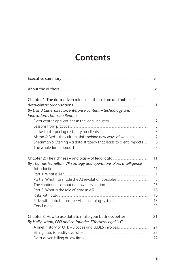# **Contents**

|                                                                    | vii            |
|--------------------------------------------------------------------|----------------|
|                                                                    | хi             |
| Chapter 1: The data-driven mindset - the culture and habits of     |                |
|                                                                    | 1              |
| By David Curle, director, enterprise content - technology and      |                |
| innovation, Thomson Reuters                                        |                |
|                                                                    | $\overline{2}$ |
|                                                                    | $\overline{3}$ |
|                                                                    | $\overline{3}$ |
| Alston & Bird - the cultural shift behind new ways of working      | $\overline{4}$ |
| Shearman & Sterling - a data strategy that leads to client impacts | 6              |
|                                                                    | 8              |
|                                                                    | 11             |
| By Thomas Hamilton, VP strategy and operations, Ross Intelligence  |                |
|                                                                    | 11             |
|                                                                    | 11             |
|                                                                    | 13             |
|                                                                    | 15             |
|                                                                    | 16             |
|                                                                    | 16             |
|                                                                    | 18             |
|                                                                    | 19             |
|                                                                    |                |
|                                                                    | 21             |
| By Holly Urban, CEO and co-founder, EffortlessLegal LLC            |                |
|                                                                    | 21             |
|                                                                    | 23             |
|                                                                    | 24             |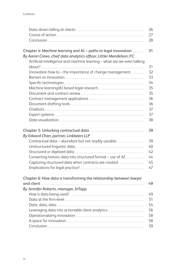|                                                                         | 26 |
|-------------------------------------------------------------------------|----|
|                                                                         | 27 |
|                                                                         | 28 |
| Chapter 4: Machine learning and AI - paths to legal innovation          | 31 |
| By Aaron Crews, chief data analytics officer, Littler Mendelson, P.C.   |    |
| Artificial intelligence and machine learning - what are we even talking | 31 |
| Innovation how to - the importance of change management                 | 32 |
|                                                                         | 33 |
|                                                                         | 34 |
|                                                                         | 35 |
|                                                                         | 35 |
|                                                                         | 36 |
|                                                                         | 36 |
|                                                                         | 37 |
|                                                                         | 37 |
|                                                                         | 38 |
|                                                                         | 39 |
| By Edward Chan, partner, Linklaters LLP                                 |    |
|                                                                         | 39 |
|                                                                         | 40 |
|                                                                         | 42 |
|                                                                         | 44 |
|                                                                         | 45 |
|                                                                         | 47 |
| Chapter 6: How data is transforming the relationship between lawyer     |    |
|                                                                         | 49 |
| By Jennifer Roberts, manager, InTapp                                    |    |
|                                                                         | 49 |
|                                                                         | 51 |
|                                                                         | 54 |
|                                                                         | 56 |
|                                                                         | 58 |
|                                                                         | 58 |
|                                                                         | 59 |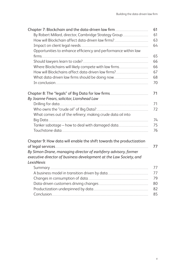|                                                                                  | 61 |
|----------------------------------------------------------------------------------|----|
|                                                                                  | 61 |
|                                                                                  | 63 |
|                                                                                  | 64 |
| Opportunities to enhance efficiency and performance within law                   |    |
|                                                                                  | 65 |
|                                                                                  | 66 |
|                                                                                  | 66 |
|                                                                                  | 67 |
|                                                                                  | 68 |
|                                                                                  | 70 |
|                                                                                  | 71 |
| By Joanne Frears, solicitor, Lionshead Law                                       |    |
|                                                                                  | 71 |
|                                                                                  | 72 |
| What comes out of the refinery; making crude data oil into                       |    |
|                                                                                  | 74 |
|                                                                                  | 75 |
|                                                                                  | 76 |
|                                                                                  |    |
| Chapter 9: How data will enable the shift towards the productization             |    |
|                                                                                  | 77 |
| By Simon Drane, managing director of earlsferry advisory, former                 |    |
| executive director of business development at the Law Society, and<br>LexisNexis |    |
|                                                                                  | 77 |
|                                                                                  | 77 |
|                                                                                  | 79 |
|                                                                                  | 80 |
|                                                                                  | 82 |
|                                                                                  | 85 |
|                                                                                  |    |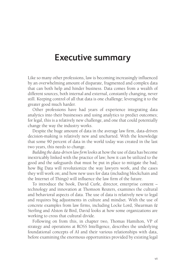### **Executive summary**

Like so many other professions, law is becoming increasingly influenced by an overwhelming amount of disparate, fragmented and complex data that can both help and hinder business. Data comes from a wealth of different sources, both internal and external, constantly changing, never still. Keeping control of all that data is one challenge; leveraging it to the greater good much harder.

Other professions have had years of experience integrating data analytics into their businesses and using analytics to predict outcomes; for legal, this is a relatively new challenge, and one that could potentially change the way the industry works.

Despite the huge amount of data in the average law firm, data-driven decision-making is relatively new and uncharted. With the knowledge that some 90 percent of data in the world today was created in the last two years, this needs to change.

*Building the data-driven law firm* looks at how the use of data has become inextricably linked with the practice of law; how it can be utilized to the good and the safeguards that must be put in place to mitigate the bad; how Big Data will revolutionize the way lawyers work, and the cases they will work on; and how new uses for data (including blockchain and the Internet of Things) will influence the law firm of the future.

To introduce the book, David Curle, director, enterprise content – technology and innovation at Thomson Reuters, examines the cultural and behavioral aspects of data. The use of data is relatively new to legal and requires big adjustments in culture and mindset. With the use of concrete examples from law firms, including Locke Lord, Shearman & Sterling and Alston & Bird, David looks at how some organizations are working to cross that cultural divide.

Following on from this, in chapter two, Thomas Hamilton, VP of strategy and operations at ROSS Intelligence, describes the underlying foundational concepts of AI and their various relationships with data, before examining the enormous opportunities provided by existing legal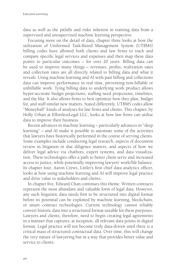data as well as the pitfalls and risks inherent in training data from a supervised and unsupervised machine learning perspective.

Focusing more on the detail of data, chapter three looks at how the utilization of Uniformed Task-Based Management System (UTBMS) billing codes have allowed both clients and law firms to track and compare specific legal services and expenses and then map these data points to particular outcomes – for over 20 years. Billing data can be used to improve many things – revenues, profits, realization rates and collection rates are all directly related to billing data and what it reveals. Using machine learning and AI with past billing and collections data can improve performance in real time, preventing non-billable or unbillable work. Tying billing data to underlying work product allows hyper-accurate budget projections, staffing need projections, timelines, and the like. It also allows firms to best optimize how they plan, budget for, and staff similar new matters. Stated differently, UTBMS codes allow "Moneyball" kinds of analyses for law firms and clients. This chapter, by Holly Urban at EffortlessLegal LLC, looks at how law firms can utilise data to improve their business.

Recent advances in machine learning – particularly advances in "deep learning" – and AI make it possible to automate some of the activities that lawyers have historically performed in the course of serving clients. Some examples include conducting legal research, aspects of document review in litigation or due diligence matters, and aspects of how we deliver legal advice via chatbots, expert systems, and data visualization. These technologies offer a path to better client serve and increased access to justice, while potentially improving lawyers' work/life balance. In chapter four, Aaron Crews, Littler's first chief data analytics officer, looks at how using machine learning and AI will improve legal practice and drive value to stakeholders and clients.

In chapter five, Edward Chan continues this theme. Written contracts represent the most abundant and valuable form of legal data. However, any such linguistic data needs first to be structured into digital format before its potential can be exploited by machine learning, blockchain, or smart contract technologies. Current technology cannot reliably convert historic data into a structured format useable for these purposes. Lawyers and clients, therefore, need to begin creating legal agreements in a manner that captures, at inception, all relevant data points in digital format. Legal practice will not become truly data-driven until there is a critical mass of structured contractual data. Over time, this will change the very nature of lawyering but in a way that provides better value and service to clients.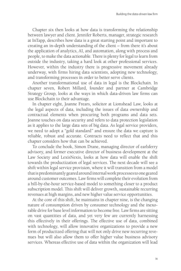Chapter six then looks at how data is transforming the relationship between lawyer and client. Jennifer Roberts, manager, strategic research at InTapp, describes how data is a great starting point and important to creating an in-depth understanding of the client – from there it's about the application of analytics, AI, and automation, along with process and people, to make the data actionable. There is plenty for legal to learn from outside the industry, taking a hard look at other professional services. However, within the industry there is progressive movement already underway, with firms hiring data scientists, adopting new technology, and transforming processes in order to better serve clients.

Another transformational use of data in legal is the Blockchain. In chapter seven, Robert Millard, founder and partner at Cambridge Strategy Group, looks at the ways in which data-driven law firms can use Blockchain to their advantage.

In chapter eight, Joanne Frears, solicitor at Lionshead Law, looks at the legal aspects of data, including the issues of data ownership and contractual elements when procuring both programs and data sets. Joanne touches on data security and refers to data protection legislation as it applies to the large data sets of big data. As legal service providers, we need to adopt a "gold standard" and ensure the data we capture is reliable, robust and accurate. Contracts need to reflect that and this chapter considers how that can be achieved.

To conclude the book, Simon Drane, managing director of earlsferry advisory, and former executive director of business development at the Law Society and LexisNexis, looks at how data will enable the shift towards the productization of legal services. The next decade will see a shift within legal service provision, where it will transition from a model that is predominantly geared around internal work processes to one geared around customer outcomes. Law firms will complete their evolution from a bill-by-the-hour service-based model to something closer to a product subscription model. This shift will deliver growth, sustainable recurring revenues at high margins, and new higher value service opportunities.

At the core of this shift, he maintains in chapter nine, is the changing nature of consumption driven by consumer technology and the inexorable drive for base level information to become free. Law firms are sitting on vast quantities of data, and yet very few are currently harnessing this effectively in their offerings. The effective use of data, combined with technology, will allow innovative organizations to provide a new form of productized offering that will not only drive new recurring revenues but will also allow them to offer higher value business advisory services. Whereas effective use of data within the organization will lead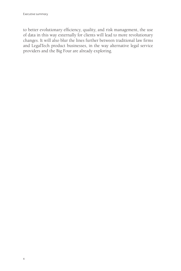to better evolutionary efficiency, quality, and risk management, the use of data in this way externally for clients will lead to more revolutionary changes. It will also blur the lines further between traditional law firms and LegalTech product businesses, in the way alternative legal service providers and the Big Four are already exploring.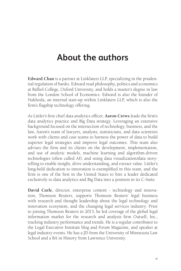## **About the authors**

**Edward Chan** is a partner at Linklaters LLP, specializing in the prudential regulation of banks. Edward read philosophy, politics and economics at Balliol College, Oxford University, and holds a master's degree in law from the London School of Economics. Edward is also the founder of Nakhoda, an internal start-up within Linklaters LLP, which is also the firm's flagship technology offering.

As Littler's first chief data analytics officer, **Aaron Crews** leads the firm's data analytics practice and Big Data strategy. Leveraging an extensive background focused on the intersection of technology, business, and the law, Aaron's team of lawyers, analysts, statisticians, and data scientists work with clients and case teams to harness the power of data to build superior legal strategies and improve legal outcomes. This team also advises the firm and its clients on the development, implementation, and use of analytic models, machine learning and algorithm-driven technologies (often called AI), and using data visualization/data storytelling to enable insight, drive understanding, and extract value. Littler's long-held dedication to innovation is exemplified in this team, and the firm is one of the first in the United States to hire a leader dedicated exclusively to data analytics and Big Data into a position in its C-Suite.

**David Curle**, director, enterprise content - technology and innovation, Thomson Reuters, supports Thomson Reuters' legal business with research and thought leadership about the legal technology and innovation ecosystem, and the changing legal services industry. Prior to joining Thomson Reuters in 2013, he led coverage of the global legal information market for the research and analysis firm Outsell, Inc., tracking industry performance and trends. He is a regular contributor to the Legal Executive Institute blog and *Forum* Magazine, and speaker at legal industry events. He has a JD from the University of Minnesota Law School and a BA in History from Lawrence University.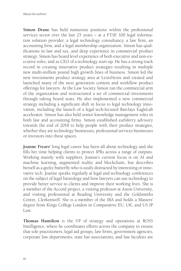**Simon Drane** has held numerous positions within the professional services sector over the last 25 years – at a FTSE 100 legal information solution provider, a legal technology consultancy, a law firm, an accounting firm, and a legal membership organization. Simon has qualifications in law and tax, and deep experience in commercial product strategy. Simon has board level experience of both executive and non-executive roles, and as CEO of a technology start-up. He has a strong track record in creating innovative product strategies resulting in multiple new multi-million pound high growth lines of business. Simon led the new investments product strategy area at LexisNexis and created and launched many of the next generation content and workflow product offerings for lawyers. At the Law Society Simon ran the commercial arm of the organization and restructured a set of commercial investments through taking board seats. He also implemented a new commercial strategy including a significant shift in focus to legal technology innovation, including the launch of a legal tech-focused Barclays EagleLab accelerator. Simon has also held senior knowledge management roles in both law and accounting firms. Simon established earlsferry advisory towards the end of 2018 to help people with their product strategies, whether they are technology businesses, professional services businesses or investors into these spaces.

**Joanne Frears'** long legal career has been all about technology and she fills her time helping clients to protect IPRs across a range of outputs. Working mainly with suppliers, Joanne's current focus is on AI and machine learning, augmented reality and blockchain, but describes herself as a geeky butterfly who is easily distracted by interesting or innovative tech. Joanne speaks regularly at legal and technology conferences on the subject of legal futurology and how lawyers can use technology to provide better service to clients and improve their working lives. She is a member of the Accord project, a visiting professor at Aston University, and visiting professional at Reading University and the Goldsmiths Centre, Clerkenwell. She is a member of the IBA and holds a Masters' degree from Kings College London in Comparative EU, UK, and US IP Law.

**Thomas Hamilton** is the VP of strategy and operations at ROSS Intelligence, where he coordinates efforts across the company to ensure that sole practitioners, legal aid groups, law firms, government agencies, corporate law departments, state bar associations, and law faculties are